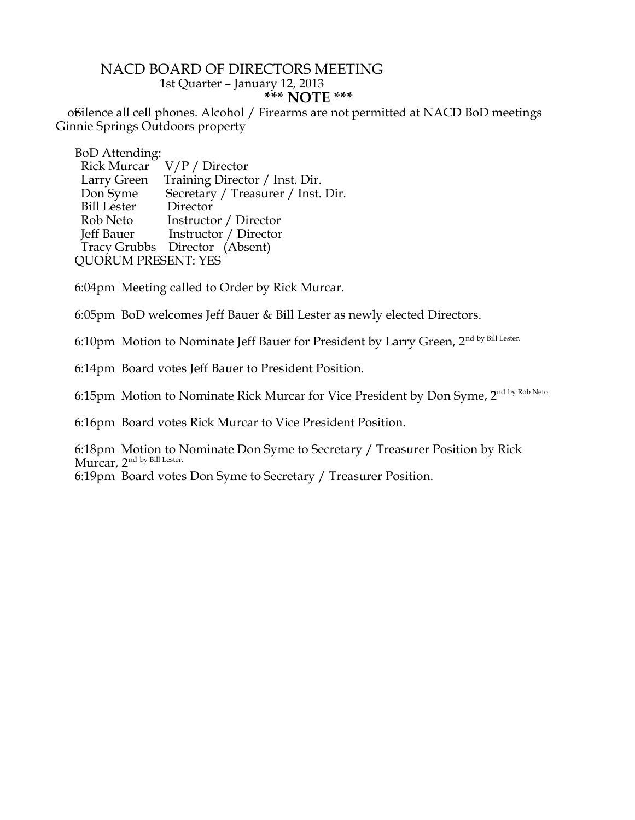## NACD BOARD OF DIRECTORS MEETING 1st Quarter – January 12, 2013 **\*\*\* NOTE \*\*\***

offilence all cell phones. Alcohol / Firearms are not permitted at NACD BoD meetings Ginnie Springs Outdoors property

BoD Attending:

| Rick Murcar                | $V/P /$ Director                   |
|----------------------------|------------------------------------|
| Larry Green                | Training Director / Inst. Dir.     |
| Don Syme                   | Secretary / Treasurer / Inst. Dir. |
| <b>Bill Lester</b>         | Director                           |
| Rob Neto                   | Instructor / Director              |
| Jeff Bauer                 | Instructor / Director              |
|                            | Tracy Grubbs Director (Absent)     |
| <b>QUORUM PRESENT: YES</b> |                                    |
|                            |                                    |

6:04pm Meeting called to Order by Rick Murcar.

6:05pm BoD welcomes Jeff Bauer & Bill Lester as newly elected Directors.

6:10pm Motion to Nominate Jeff Bauer for President by Larry Green, 2<sup>nd by Bill Lester.</sup>

6:14pm Board votes Jeff Bauer to President Position.

6:15pm Motion to Nominate Rick Murcar for Vice President by Don Syme, 2nd by Rob Neto.

6:16pm Board votes Rick Murcar to Vice President Position.

6:18pm Motion to Nominate Don Syme to Secretary / Treasurer Position by Rick Murcar, 2<sup>nd by Bill Lester.</sup>

6:19pm Board votes Don Syme to Secretary / Treasurer Position.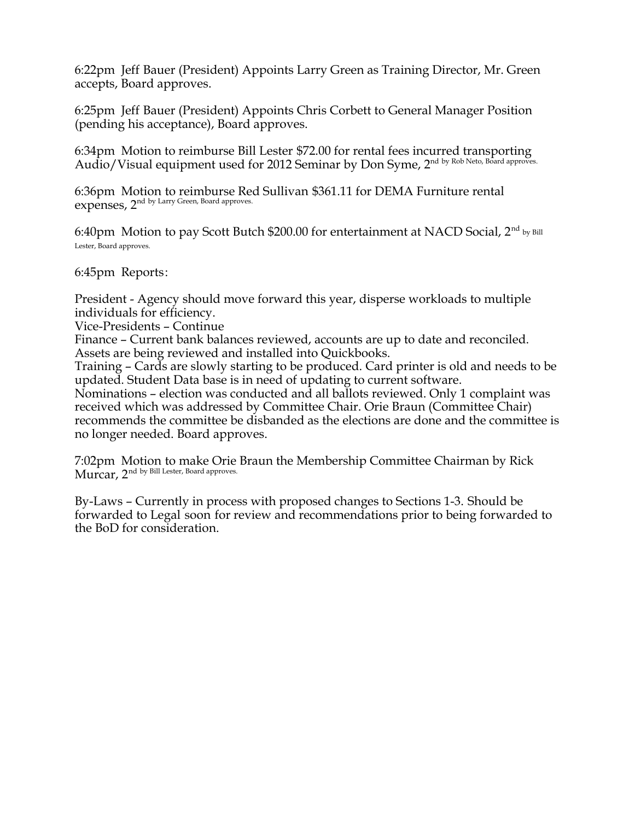6:22pm Jeff Bauer (President) Appoints Larry Green as Training Director, Mr. Green accepts, Board approves.

6:25pm Jeff Bauer (President) Appoints Chris Corbett to General Manager Position (pending his acceptance), Board approves.

6:34pm Motion to reimburse Bill Lester \$72.00 for rental fees incurred transporting Audio/Visual equipment used for 2012 Seminar by Don Syme, 2<sup>nd by Rob Neto, Board approves.</sup>

6:36pm Motion to reimburse Red Sullivan \$361.11 for DEMA Furniture rental expenses, 2<sup>nd by Larry Green, Board approves.</sup>

6:40pm Motion to pay Scott Butch \$200.00 for entertainment at NACD Social, 2<sup>nd</sup> by Bill Lester, Board approves.

6:45pm Reports:

President - Agency should move forward this year, disperse workloads to multiple individuals for efficiency.

Vice-Presidents – Continue

Finance – Current bank balances reviewed, accounts are up to date and reconciled. Assets are being reviewed and installed into Quickbooks.

Training – Cards are slowly starting to be produced. Card printer is old and needs to be updated. Student Data base is in need of updating to current software.

Nominations – election was conducted and all ballots reviewed. Only 1 complaint was received which was addressed by Committee Chair. Orie Braun (Committee Chair) recommends the committee be disbanded as the elections are done and the committee is no longer needed. Board approves.

7:02pm Motion to make Orie Braun the Membership Committee Chairman by Rick Murcar, 2<sup>nd by Bill Lester, Board approves.</sup>

By-Laws – Currently in process with proposed changes to Sections 1-3. Should be forwarded to Legal soon for review and recommendations prior to being forwarded to the BoD for consideration.